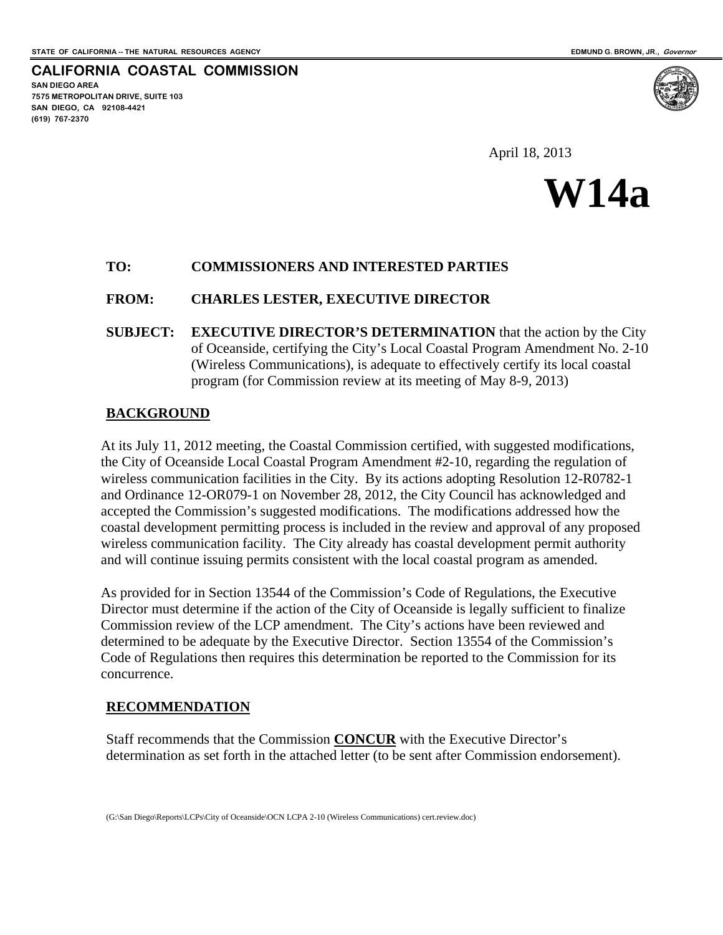**SAN DIEGO AREA** 

**(619) 767-2370** 

**7575 METROPOLITAN DRIVE, SUITE 103 SAN DIEGO, CA 92108-4421** 

**CALIFORNIA COASTAL COMMISSION** 

April 18, 2013

# **W14a**

# **TO: COMMISSIONERS AND INTERESTED PARTIES**

# **FROM: CHARLES LESTER, EXECUTIVE DIRECTOR**

**SUBJECT: EXECUTIVE DIRECTOR'S DETERMINATION** that the action by the City of Oceanside, certifying the City's Local Coastal Program Amendment No. 2-10 (Wireless Communications), is adequate to effectively certify its local coastal program (for Commission review at its meeting of May 8-9, 2013)

# **BACKGROUND**

At its July 11, 2012 meeting, the Coastal Commission certified, with suggested modifications, the City of Oceanside Local Coastal Program Amendment #2-10, regarding the regulation of wireless communication facilities in the City. By its actions adopting Resolution 12-R0782-1 and Ordinance 12-OR079-1 on November 28, 2012, the City Council has acknowledged and accepted the Commission's suggested modifications. The modifications addressed how the coastal development permitting process is included in the review and approval of any proposed wireless communication facility. The City already has coastal development permit authority and will continue issuing permits consistent with the local coastal program as amended.

As provided for in Section 13544 of the Commission's Code of Regulations, the Executive Director must determine if the action of the City of Oceanside is legally sufficient to finalize Commission review of the LCP amendment. The City's actions have been reviewed and determined to be adequate by the Executive Director. Section 13554 of the Commission's Code of Regulations then requires this determination be reported to the Commission for its concurrence.

# **RECOMMENDATION**

Staff recommends that the Commission **CONCUR** with the Executive Director's determination as set forth in the attached letter (to be sent after Commission endorsement).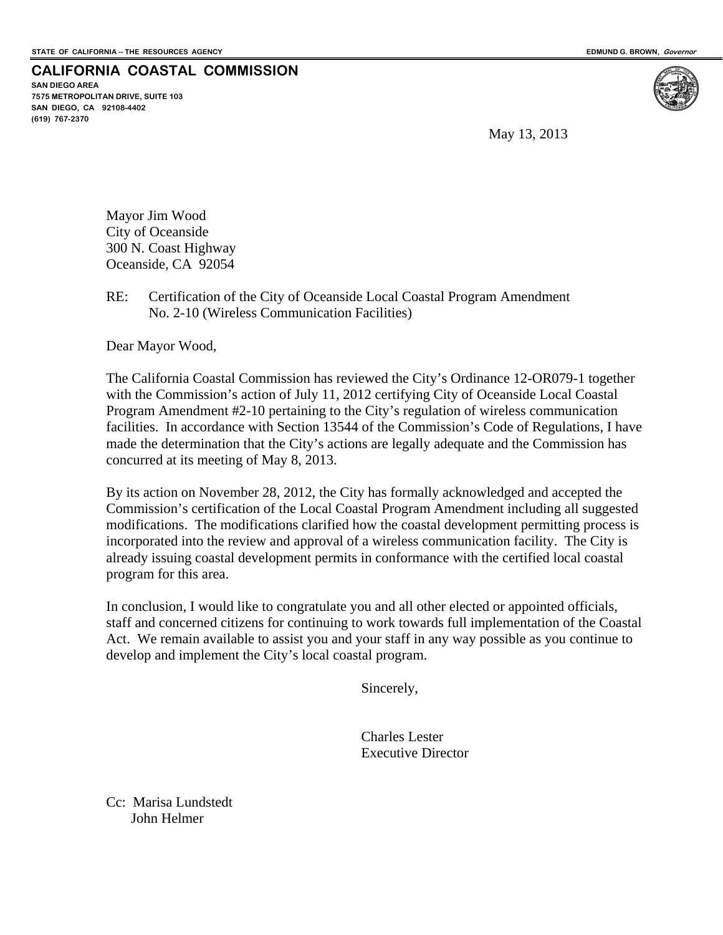**CALIFORNIA COASTAL COMMISSION** 

**SAN DIEGO AREA 7575 METROPOLITAN DRIVE, SUITE 103 SAN DIEGO, CA 92108-4402 (619) 767-2370**

May 13, 2013

Mayor Jim Wood City of Oceanside 300 N. Coast Highway Oceanside, CA 92054

RE: Certification of the City of Oceanside Local Coastal Program Amendment No. 2-10 (Wireless Communication Facilities)

Dear Mayor Wood,

The California Coastal Commission has reviewed the City's Ordinance 12-OR079-1 together with the Commission's action of July 11, 2012 certifying City of Oceanside Local Coastal Program Amendment #2-10 pertaining to the City's regulation of wireless communication facilities. In accordance with Section 13544 of the Commission's Code of Regulations, I have made the determination that the City's actions are legally adequate and the Commission has concurred at its meeting of May 8, 2013.

By its action on November 28, 2012, the City has formally acknowledged and accepted the Commission's certification of the Local Coastal Program Amendment including all suggested modifications. The modifications clarified how the coastal development permitting process is incorporated into the review and approval of a wireless communication facility. The City is already issuing coastal development permits in conformance with the certified local coastal program for this area.

In conclusion, I would like to congratulate you and all other elected or appointed officials, staff and concerned citizens for continuing to work towards full implementation of the Coastal Act. We remain available to assist you and your staff in any way possible as you continue to develop and implement the City's local coastal program.

Sincerely,

 Charles Lester Executive Director

Cc: Marisa Lundstedt John Helmer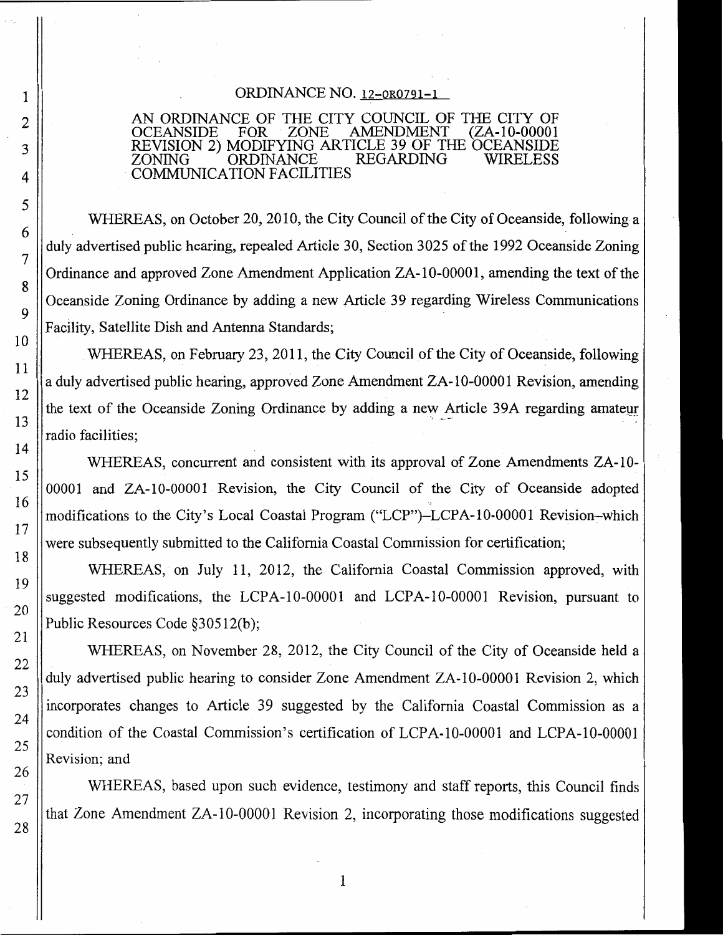# ORDINANCE NO. 12-0R0791-1

## AN ORDINANCE OF THE CITY COUNCIL OF THE CITY OF OCEANSIDE FOR ZONE AMENDMENT (ZA-10-00001 REVISION 2) MODIFYING ARTICLE 39 OF THE OCEANSIDE **REGARDING** WIRELESS **ORDINANCE** ZONING **COMMUNICATION FACILITIES**

WHEREAS, on October 20, 2010, the City Council of the City of Oceanside, following a duly advertised public hearing, repealed Article 30, Section 3025 of the 1992 Oceanside Zoning Ordinance and approved Zone Amendment Application ZA-10-00001, amending the text of the Oceanside Zoning Ordinance by adding a new Article 39 regarding Wireless Communications Facility, Satellite Dish and Antenna Standards;

WHEREAS, on February 23, 2011, the City Council of the City of Oceanside, following a duly advertised public hearing, approved Zone Amendment ZA-10-00001 Revision, amending the text of the Oceanside Zoning Ordinance by adding a new Article 39A regarding amateur radio facilities;

WHEREAS, concurrent and consistent with its approval of Zone Amendments ZA-10-00001 and ZA-10-00001 Revision, the City Council of the City of Oceanside adopted modifications to the City's Local Coastal Program ("LCP")-LCPA-10-00001 Revision-which were subsequently submitted to the California Coastal Commission for certification;

WHEREAS, on July 11, 2012, the California Coastal Commission approved, with suggested modifications, the LCPA-10-00001 and LCPA-10-00001 Revision, pursuant to Public Resources Code §30512(b);

WHEREAS, on November 28, 2012, the City Council of the City of Oceanside held a duly advertised public hearing to consider Zone Amendment ZA-10-00001 Revision 2, which incorporates changes to Article 39 suggested by the California Coastal Commission as a condition of the Coastal Commission's certification of LCPA-10-00001 and LCPA-10-00001 Revision; and

WHEREAS, based upon such evidence, testimony and staff reports, this Council finds that Zone Amendment ZA-10-00001 Revision 2, incorporating those modifications suggested

 $\mathbf{1}$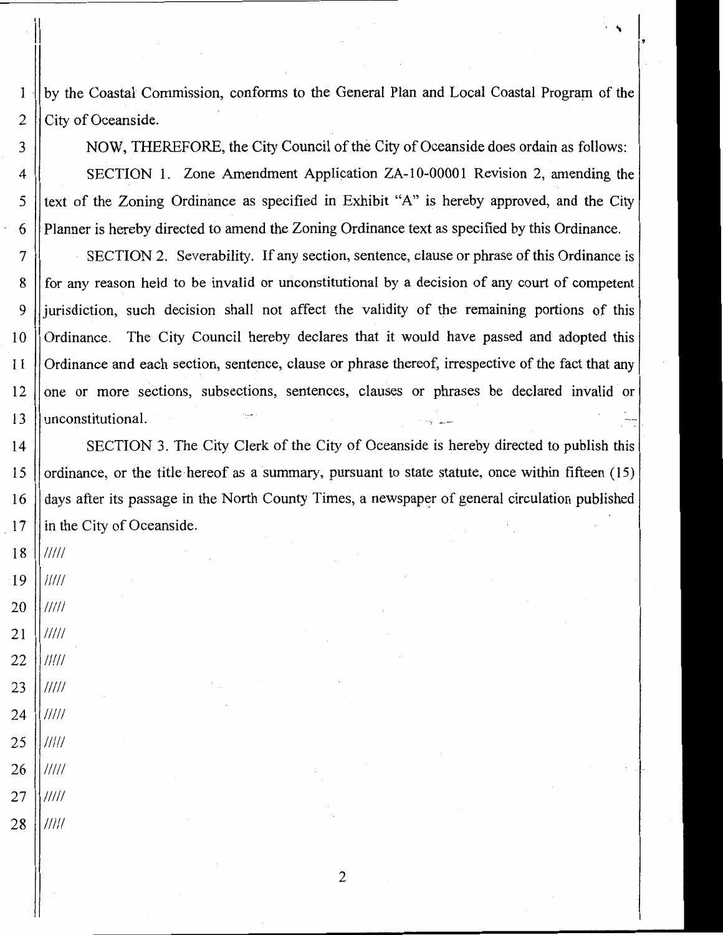by the Coastal Commission, conforms to the General Plan and Local Coastal Program of the City of Oceanside.

NOW, THEREFORE, the City Council of the City of Oceanside does ordain as follows: SECTION 1. Zone Amendment Application ZA-10-00001 Revision 2, amending the text of the Zoning Ordinance as specified in Exhibit "A" is hereby approved, and the City Planner is hereby directed to amend the Zoning Ordinance text as specified by this Ordinance.

SECTION 2. Severability. If any section, sentence, clause or phrase of this Ordinance is for any reason held to be invalid or unconstitutional by a decision of any court of competent jurisdiction, such decision shall not affect the validity of the remaining portions of this Ordinance. The City Council hereby declares that it would have passed and adopted this Ordinance and each section, sentence, clause or phrase thereof, irrespective of the fact that any one or more sections, subsections, sentences, clauses or phrases be declared invalid or unconstitutional.

SECTION 3. The City Clerk of the City of Oceanside is hereby directed to publish this  $14$ ordinance, or the title hereof as a summary, pursuant to state statute, once within fifteen (15) 15 16 days after its passage in the North County Times, a newspaper of general circulation published in the City of Oceanside.  $17$ 

18  $\frac{1}{1}$ 19  $11111$ 

 $\mathbf{1}$ 

 $\overline{2}$ 

3

 $\overline{4}$ 

5

6

 $\overline{7}$ 

8

9

10

 $11$ 

12

 $13$ 

- 20  $\frac{1}{1}$ 21  $11111$ 22  $\frac{1}{1}$
- 23  $\frac{1}{1}$  $\frac{1}{1}$ 24
- 25  $\frac{1}{1}$
- $\frac{1}{1}$ 26 27  $\frac{1}{1}$
- 28  $\frac{1}{1}$

 $\overline{2}$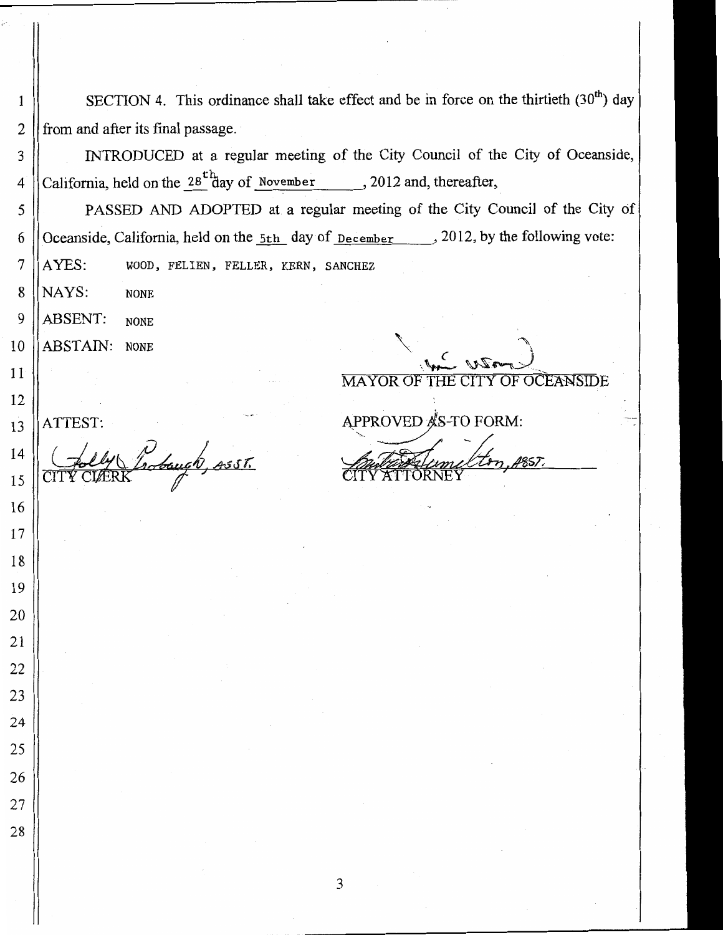SECTION 4. This ordinance shall take effect and be in force on the thirtieth (30<sup>th</sup>) day from and after its final passage.

INTRODUCED at a regular meeting of the City Council of the City of Oceanside, California, held on the  $28^{th}$ day of November , 2012 and, thereafter,

PASSED AND ADOPTED at a regular meeting of the City Council of the City of Oceanside, California, held on the 5th day of December 2012, by the following vote: AYES: WOOD, FELIEN, FELLER, KERN, SANCHEZ

8 NAYS: **NONE** 

 $\mathbf{1}$ 

 $\overline{2}$ 

3

4

5

6

7

9

10

 $11<sup>°</sup>$ 

12

13

14

15

16

17

18

19

20

21

22

23

 $\overline{24}$ 

25

26

27

28

ABSENT: **NONE** 

ABSTAIN: NONE

THE CITY OF OCEANSIDE **MAYOR OF** 

ATTEST:

Irobough, ASST.

APPROVED AS-TO FORM: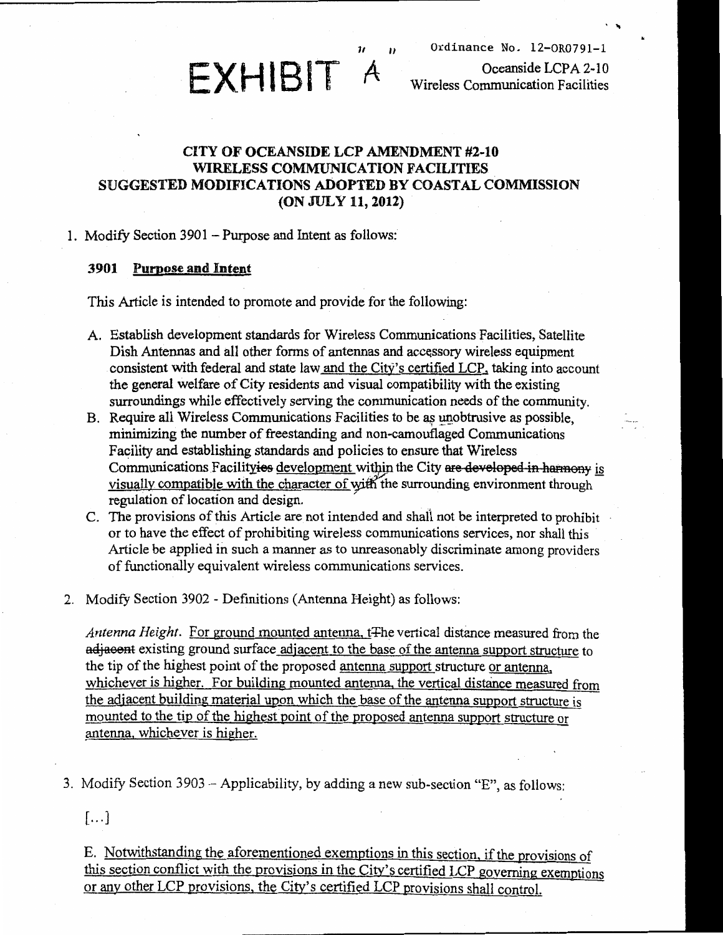FXHIBIT A

Oceanside LCPA 2-10 Wireless Communication Facilities

# CITY OF OCEANSIDE LCP AMENDMENT #2-10 **WIRELESS COMMUNICATION FACILITIES** SUGGESTED MODIFICATIONS ADOPTED BY COASTAL COMMISSION (ON JULY 11, 2012)

# 1. Modify Section 3901 – Purpose and Intent as follows:

### 3901 **Purpose and Intent**

This Article is intended to promote and provide for the following:

- A. Establish development standards for Wireless Communications Facilities, Satellite Dish Antennas and all other forms of antennas and accessory wireless equipment consistent with federal and state law and the City's certified LCP, taking into account the general welfare of City residents and visual compatibility with the existing surroundings while effectively serving the communication needs of the community.
- B. Require all Wireless Communications Facilities to be as unobtrusive as possible. minimizing the number of freestanding and non-camouflaged Communications Facility and establishing standards and policies to ensure that Wireless Communications Facilityies development within the City are developed in harmony is visually compatible with the character of with the surrounding environment through regulation of location and design.
- C. The provisions of this Article are not intended and shall not be interpreted to prohibit or to have the effect of prohibiting wireless communications services, nor shall this Article be applied in such a manner as to unreasonably discriminate among providers of functionally equivalent wireless communications services.
- 2. Modify Section 3902 Definitions (Antenna Height) as follows:

Antenna Height. For ground mounted antenna, t<sub>The</sub> vertical distance measured from the adiacent existing ground surface adjacent to the base of the antenna support structure to the tip of the highest point of the proposed antenna support structure or antenna. whichever is higher. For building mounted antenna, the vertical distance measured from the adjacent building material upon which the base of the antenna support structure is mounted to the tip of the highest point of the proposed antenna support structure or antenna, whichever is higher.

3. Modify Section 3903 - Applicability, by adding a new sub-section "E", as follows:

 $[\dots]$ 

E. Notwithstanding the aforementioned exemptions in this section, if the provisions of this section conflict with the provisions in the City's certified LCP governing exemptions or any other LCP provisions, the City's certified LCP provisions shall control.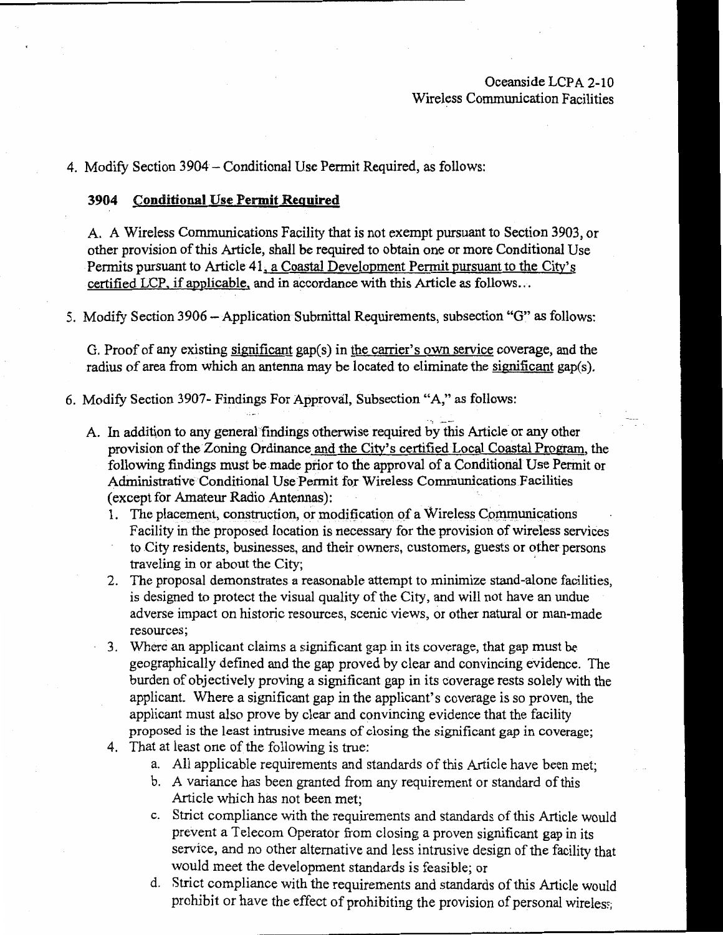# Oceanside LCPA 2-10 Wireless Communication Facilities

4. Modify Section 3904 – Conditional Use Permit Required, as follows:

# 3904 Conditional Use Permit Required

A. A Wireless Communications Facility that is not exempt pursuant to Section 3903, or other provision of this Article, shall be required to obtain one or more Conditional Use Permits pursuant to Article 41, a Coastal Development Permit pursuant to the City's certified LCP, if applicable, and in accordance with this Article as follows...

5. Modify Section 3906 – Application Submittal Requirements, subsection "G" as follows:

G. Proof of any existing significant gap(s) in the carrier's own service coverage, and the radius of area from which an antenna may be located to eliminate the significant gap(s).

6. Modify Section 3907- Findings For Approval, Subsection "A," as follows:

- A. In addition to any general findings otherwise required by this Article or any other provision of the Zoning Ordinance and the City's certified Local Coastal Program, the following findings must be made prior to the approval of a Conditional Use Permit or Administrative Conditional Use Permit for Wireless Communications Facilities (except for Amateur Radio Antennas):
	- 1. The placement, construction, or modification of a Wireless Communications Facility in the proposed location is necessary for the provision of wireless services to City residents, businesses, and their owners, customers, guests or other persons traveling in or about the City;
	- 2. The proposal demonstrates a reasonable attempt to minimize stand-alone facilities, is designed to protect the visual quality of the City, and will not have an undue adverse impact on historic resources, scenic views, or other natural or man-made resources;
	- 3. Where an applicant claims a significant gap in its coverage, that gap must be geographically defined and the gap proved by clear and convincing evidence. The burden of objectively proving a significant gap in its coverage rests solely with the applicant. Where a significant gap in the applicant's coverage is so proven, the applicant must also prove by clear and convincing evidence that the facility proposed is the least intrusive means of closing the significant gap in coverage;
	- 4. That at least one of the following is true:
		- a. All applicable requirements and standards of this Article have been met;
		- b. A variance has been granted from any requirement or standard of this Article which has not been met:
		- c. Strict compliance with the requirements and standards of this Article would prevent a Telecom Operator from closing a proven significant gap in its service, and no other alternative and less intrusive design of the facility that would meet the development standards is feasible; or
		- d. Strict compliance with the requirements and standards of this Article would prohibit or have the effect of prohibiting the provision of personal wireless;